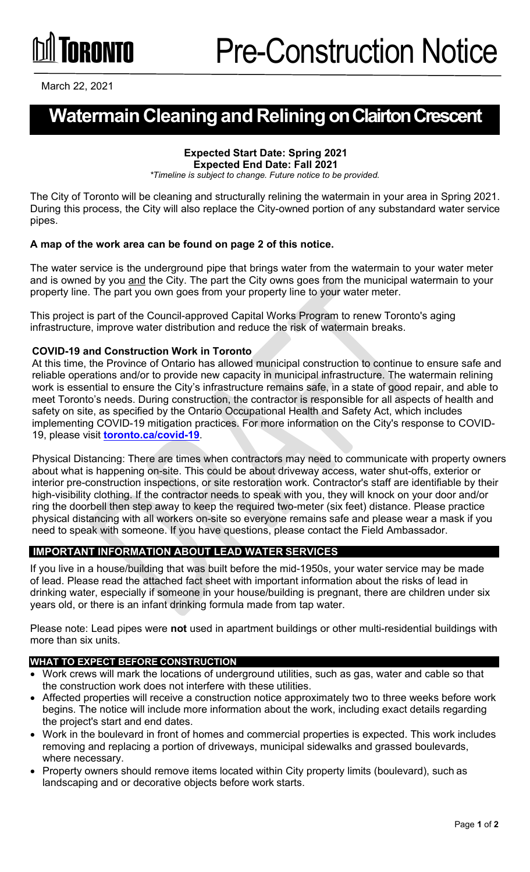# **GRANTA**

March 22, 2021

### **Watermain Cleaningand Reliningon Clairton Crescent**

#### **Expected Start Date: Spring 2021 Expected End Date: Fall 2021**

*\*Timeline is subject to change. Future notice to be provided.*

The City of Toronto will be cleaning and structurally relining the watermain in your area in Spring 2021. During this process, the City will also replace the City-owned portion of any substandard water service pipes.

#### **A map of the work area can be found on page 2 of this notice.**

The water service is the underground pipe that brings water from the watermain to your water meter and is owned by you and the City. The part the City owns goes from the municipal watermain to your property line. The part you own goes from your property line to your water meter.

This project is part of the Council-approved Capital Works Program to renew Toronto's aging infrastructure, improve water distribution and reduce the risk of watermain breaks.

#### **COVID-19 and Construction Work in Toronto**

At this time, the Province of Ontario has allowed municipal construction to continue to ensure safe and reliable operations and/or to provide new capacity in municipal infrastructure. The watermain relining work is essential to ensure the City's infrastructure remains safe, in a state of good repair, and able to meet Toronto's needs. During construction, the contractor is responsible for all aspects of health and safety on site, as specified by the Ontario Occupational Health and Safety Act, which includes implementing COVID-19 mitigation practices. For more information on the City's response to COVID-19, please visit **[toronto.ca/covid-19](http://toronto.ca/covid-19)**.

Physical Distancing: There are times when contractors may need to communicate with property owners about what is happening on-site. This could be about driveway access, water shut-offs, exterior or interior pre-construction inspections, or site restoration work. Contractor's staff are identifiable by their high-visibility clothing. If the contractor needs to speak with you, they will knock on your door and/or ring the doorbell then step away to keep the required two-meter (six feet) distance. Please practice physical distancing with all workers on-site so everyone remains safe and please wear a mask if you need to speak with someone. If you have questions, please contact the Field Ambassador.

#### **IMPORTANT INFORMATION ABOUT LEAD WATER SERVICES**

If you live in a house/building that was built before the mid-1950s, your water service may be made of lead. Please read the attached fact sheet with important information about the risks of lead in drinking water, especially if someone in your house/building is pregnant, there are children under six years old, or there is an infant drinking formula made from tap water.

Please note: Lead pipes were **not** used in apartment buildings or other multi-residential buildings with more than six units.

#### **WHAT TO EXPECT BEFORE CONSTRUCTION**

- Work crews will mark the locations of underground utilities, such as gas, water and cable so that the construction work does not interfere with these utilities.
- Affected properties will receive a construction notice approximately two to three weeks before work begins. The notice will include more information about the work, including exact details regarding the project's start and end dates.
- Work in the boulevard in front of homes and commercial properties is expected. This work includes removing and replacing a portion of driveways, municipal sidewalks and grassed boulevards, where necessary.
- Property owners should remove items located within City property limits (boulevard), such as landscaping and or decorative objects before work starts.